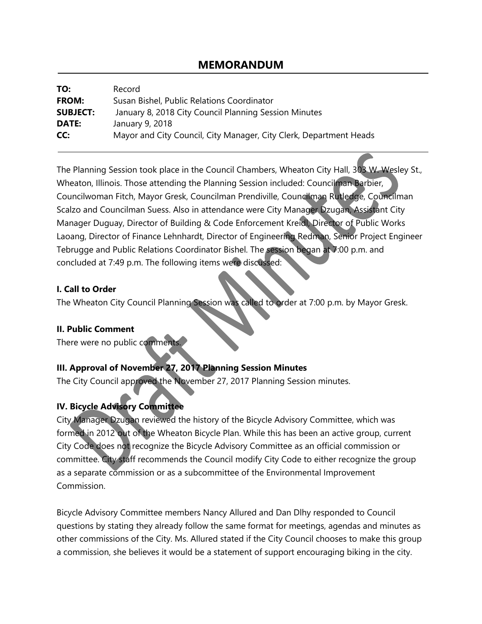# **MEMORANDUM**

| TO:             | Record                                                             |
|-----------------|--------------------------------------------------------------------|
| <b>FROM:</b>    | Susan Bishel, Public Relations Coordinator                         |
| <b>SUBJECT:</b> | January 8, 2018 City Council Planning Session Minutes              |
| DATE:           | January 9, 2018                                                    |
| CC:             | Mayor and City Council, City Manager, City Clerk, Department Heads |

The Planning Session took place in the Council Chambers, Wheaton City Hall, 303 W. Wesley St., Wheaton, Illinois. Those attending the Planning Session included: Councilman Barbier, Councilwoman Fitch, Mayor Gresk, Councilman Prendiville, Councilman Rutledge, Councilman Scalzo and Councilman Suess. Also in attendance were City Manager Dzugan, Assistant City Manager Duguay, Director of Building & Code Enforcement Kreidl, Director of Public Works Laoang, Director of Finance Lehnhardt, Director of Engineering Redman, Senior Project Engineer Tebrugge and Public Relations Coordinator Bishel. The session began at 7:00 p.m. and concluded at 7:49 p.m. The following items were discussed:

### **I. Call to Order**

The Wheaton City Council Planning Session was called to order at 7:00 p.m. by Mayor Gresk.

#### **II. Public Comment**

There were no public comments.

### **III. Approval of November 27, 2017 Planning Session Minutes**

The City Council approved the November 27, 2017 Planning Session minutes.

### **IV. Bicycle Advisory Committee**

City Manager Dzugan reviewed the history of the Bicycle Advisory Committee, which was formed in 2012 out of the Wheaton Bicycle Plan. While this has been an active group, current City Code does not recognize the Bicycle Advisory Committee as an official commission or committee. City staff recommends the Council modify City Code to either recognize the group as a separate commission or as a subcommittee of the Environmental Improvement Commission.

Bicycle Advisory Committee members Nancy Allured and Dan Dlhy responded to Council questions by stating they already follow the same format for meetings, agendas and minutes as other commissions of the City. Ms. Allured stated if the City Council chooses to make this group a commission, she believes it would be a statement of support encouraging biking in the city.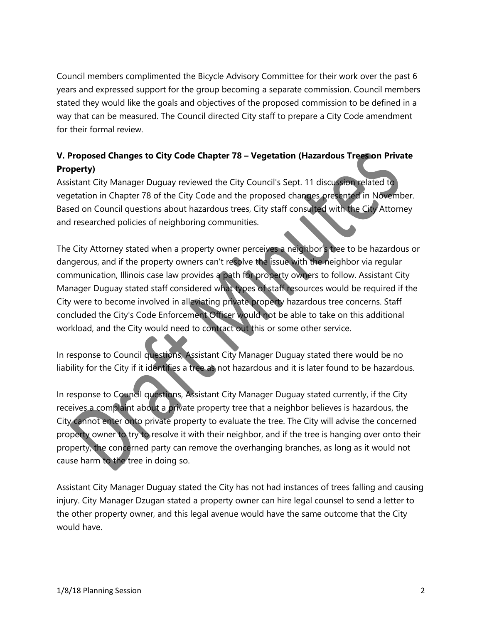Council members complimented the Bicycle Advisory Committee for their work over the past 6 years and expressed support for the group becoming a separate commission. Council members stated they would like the goals and objectives of the proposed commission to be defined in a way that can be measured. The Council directed City staff to prepare a City Code amendment for their formal review.

## **V. Proposed Changes to City Code Chapter 78 – Vegetation (Hazardous Trees on Private Property)**

Assistant City Manager Duguay reviewed the City Council's Sept. 11 discussion related to vegetation in Chapter 78 of the City Code and the proposed changes presented in November. Based on Council questions about hazardous trees, City staff consulted with the City Attorney and researched policies of neighboring communities.

The City Attorney stated when a property owner perceives a neighbor's tree to be hazardous or dangerous, and if the property owners can't resolve the issue with the neighbor via regular communication, Illinois case law provides a path for property owners to follow. Assistant City Manager Duguay stated staff considered what types of staff resources would be required if the City were to become involved in alleviating private property hazardous tree concerns. Staff concluded the City's Code Enforcement Officer would not be able to take on this additional workload, and the City would need to contract out this or some other service.

In response to Council questions, Assistant City Manager Duguay stated there would be no liability for the City if it identifies a tree as not hazardous and it is later found to be hazardous.

In response to Council questions, Assistant City Manager Duguay stated currently, if the City receives a complaint about a private property tree that a neighbor believes is hazardous, the City cannot enter onto private property to evaluate the tree. The City will advise the concerned property owner to try to resolve it with their neighbor, and if the tree is hanging over onto their property, the concerned party can remove the overhanging branches, as long as it would not cause harm to the tree in doing so.

Assistant City Manager Duguay stated the City has not had instances of trees falling and causing injury. City Manager Dzugan stated a property owner can hire legal counsel to send a letter to the other property owner, and this legal avenue would have the same outcome that the City would have.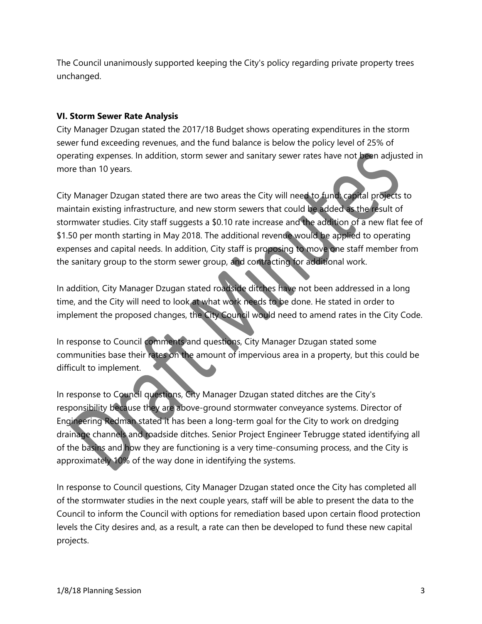The Council unanimously supported keeping the City's policy regarding private property trees unchanged.

#### **VI. Storm Sewer Rate Analysis**

City Manager Dzugan stated the 2017/18 Budget shows operating expenditures in the storm sewer fund exceeding revenues, and the fund balance is below the policy level of 25% of operating expenses. In addition, storm sewer and sanitary sewer rates have not been adjusted in more than 10 years.

City Manager Dzugan stated there are two areas the City will need to fund: capital projects to maintain existing infrastructure, and new storm sewers that could be added as the result of stormwater studies. City staff suggests a \$0.10 rate increase and the addition of a new flat fee of \$1.50 per month starting in May 2018. The additional revenue would be applied to operating expenses and capital needs. In addition, City staff is proposing to move one staff member from the sanitary group to the storm sewer group, and contracting for additional work.

In addition, City Manager Dzugan stated roadside ditches have not been addressed in a long time, and the City will need to look at what work needs to be done. He stated in order to implement the proposed changes, the City Council would need to amend rates in the City Code.

In response to Council comments and questions, City Manager Dzugan stated some communities base their rates on the amount of impervious area in a property, but this could be difficult to implement.

In response to Council questions, City Manager Dzugan stated ditches are the City's responsibility because they are above-ground stormwater conveyance systems. Director of Engineering Redman stated it has been a long-term goal for the City to work on dredging drainage channels and roadside ditches. Senior Project Engineer Tebrugge stated identifying all of the basins and how they are functioning is a very time-consuming process, and the City is approximately 10% of the way done in identifying the systems.

In response to Council questions, City Manager Dzugan stated once the City has completed all of the stormwater studies in the next couple years, staff will be able to present the data to the Council to inform the Council with options for remediation based upon certain flood protection levels the City desires and, as a result, a rate can then be developed to fund these new capital projects.